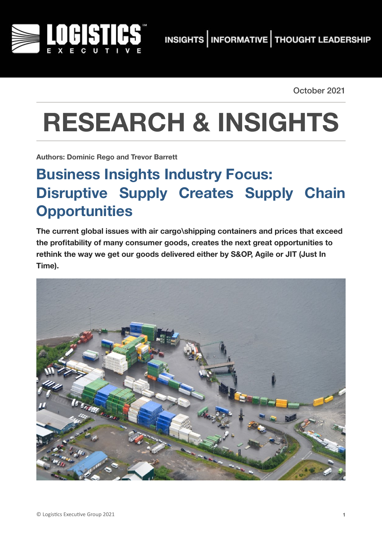

October 2021

# **RESEARCH & INSIGHTS**

**Authors: Dominic Rego and Trevor Barrett**

## **Business Insights Industry Focus: Disruptive Supply Creates Supply Chain Opportunities**

**The current global issues with air cargo\shipping containers and prices that exceed the profitability of many consumer goods, creates the next great opportunities to rethink the way we get our goods delivered either by S&OP, Agile or JIT (Just In Time).** 

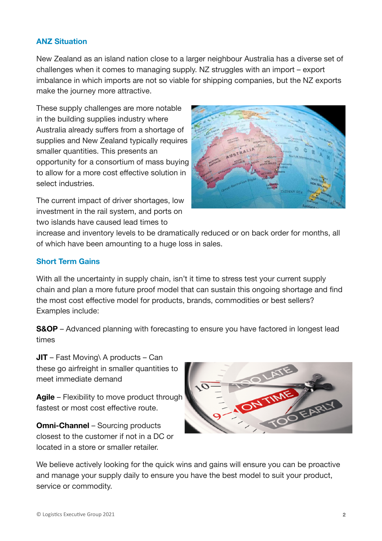#### **ANZ Situation**

New Zealand as an island nation close to a larger neighbour Australia has a diverse set of challenges when it comes to managing supply. NZ struggles with an import – export imbalance in which imports are not so viable for shipping companies, but the NZ exports make the journey more attractive.

These supply challenges are more notable in the building supplies industry where Australia already suffers from a shortage of supplies and New Zealand typically requires smaller quantities. This presents an opportunity for a consortium of mass buying to allow for a more cost effective solution in select industries.

The current impact of driver shortages, low investment in the rail system, and ports on two islands have caused lead times to



increase and inventory levels to be dramatically reduced or on back order for months, all of which have been amounting to a huge loss in sales.

#### **Short Term Gains**

With all the uncertainty in supply chain, isn't it time to stress test your current supply chain and plan a more future proof model that can sustain this ongoing shortage and find the most cost effective model for products, brands, commodities or best sellers? Examples include:

**S&OP** – Advanced planning with forecasting to ensure you have factored in longest lead times

**JIT** – Fast Moving\ A products – Can these go airfreight in smaller quantities to meet immediate demand

**Agile** – Flexibility to move product through fastest or most cost effective route.

**Omni-Channel** – Sourcing products closest to the customer if not in a DC or located in a store or smaller retailer.



We believe actively looking for the quick wins and gains will ensure you can be proactive and manage your supply daily to ensure you have the best model to suit your product, service or commodity.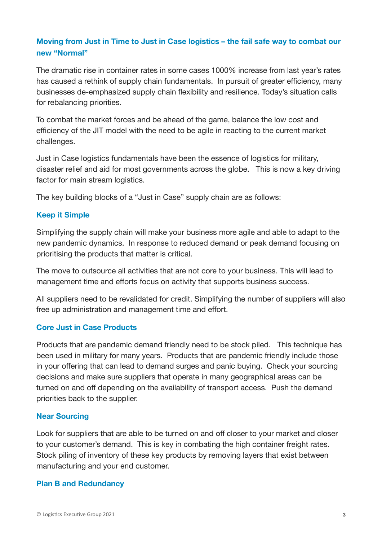#### **Moving from Just in Time to Just in Case logistics – the fail safe way to combat our new "Normal"**

The dramatic rise in container rates in some cases 1000% increase from last year's rates has caused a rethink of supply chain fundamentals. In pursuit of greater efficiency, many businesses de-emphasized supply chain flexibility and resilience. Today's situation calls for rebalancing priorities.

To combat the market forces and be ahead of the game, balance the low cost and efficiency of the JIT model with the need to be agile in reacting to the current market challenges.

Just in Case logistics fundamentals have been the essence of logistics for military, disaster relief and aid for most governments across the globe. This is now a key driving factor for main stream logistics.

The key building blocks of a "Just in Case" supply chain are as follows:

#### **Keep it Simple**

Simplifying the supply chain will make your business more agile and able to adapt to the new pandemic dynamics. In response to reduced demand or peak demand focusing on prioritising the products that matter is critical.

The move to outsource all activities that are not core to your business. This will lead to management time and efforts focus on activity that supports business success.

All suppliers need to be revalidated for credit. Simplifying the number of suppliers will also free up administration and management time and effort.

#### **Core Just in Case Products**

Products that are pandemic demand friendly need to be stock piled. This technique has been used in military for many years. Products that are pandemic friendly include those in your offering that can lead to demand surges and panic buying. Check your sourcing decisions and make sure suppliers that operate in many geographical areas can be turned on and off depending on the availability of transport access. Push the demand priorities back to the supplier.

#### **Near Sourcing**

Look for suppliers that are able to be turned on and off closer to your market and closer to your customer's demand. This is key in combating the high container freight rates. Stock piling of inventory of these key products by removing layers that exist between manufacturing and your end customer.

#### **Plan B and Redundancy**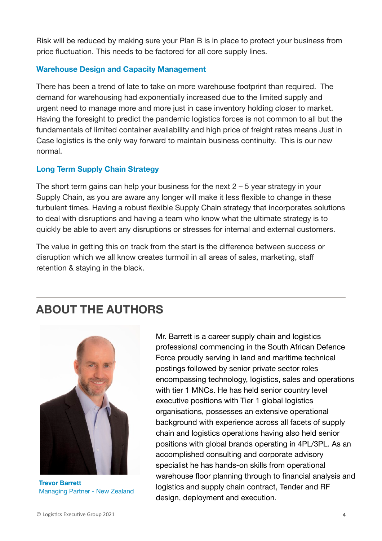Risk will be reduced by making sure your Plan B is in place to protect your business from price fluctuation. This needs to be factored for all core supply lines.

#### **Warehouse Design and Capacity Management**

There has been a trend of late to take on more warehouse footprint than required. The demand for warehousing had exponentially increased due to the limited supply and urgent need to manage more and more just in case inventory holding closer to market. Having the foresight to predict the pandemic logistics forces is not common to all but the fundamentals of limited container availability and high price of freight rates means Just in Case logistics is the only way forward to maintain business continuity. This is our new normal.

#### **Long Term Supply Chain Strategy**

The short term gains can help your business for the next  $2 - 5$  year strategy in your Supply Chain, as you are aware any longer will make it less flexible to change in these turbulent times. Having a robust flexible Supply Chain strategy that incorporates solutions to deal with disruptions and having a team who know what the ultimate strategy is to quickly be able to avert any disruptions or stresses for internal and external customers.

The value in getting this on track from the start is the difference between success or disruption which we all know creates turmoil in all areas of sales, marketing, staff retention & staying in the black.

### **ABOUT THE AUTHORS**



**Trevor Barrett**  Managing Partner - New Zealand

Mr. Barrett is a career supply chain and logistics professional commencing in the South African Defence Force proudly serving in land and maritime technical postings followed by senior private sector roles encompassing technology, logistics, sales and operations with tier 1 MNCs. He has held senior country level executive positions with Tier 1 global logistics organisations, possesses an extensive operational background with experience across all facets of supply chain and logistics operations having also held senior positions with global brands operating in 4PL/3PL. As an accomplished consulting and corporate advisory specialist he has hands-on skills from operational warehouse floor planning through to financial analysis and logistics and supply chain contract, Tender and RF design, deployment and execution.